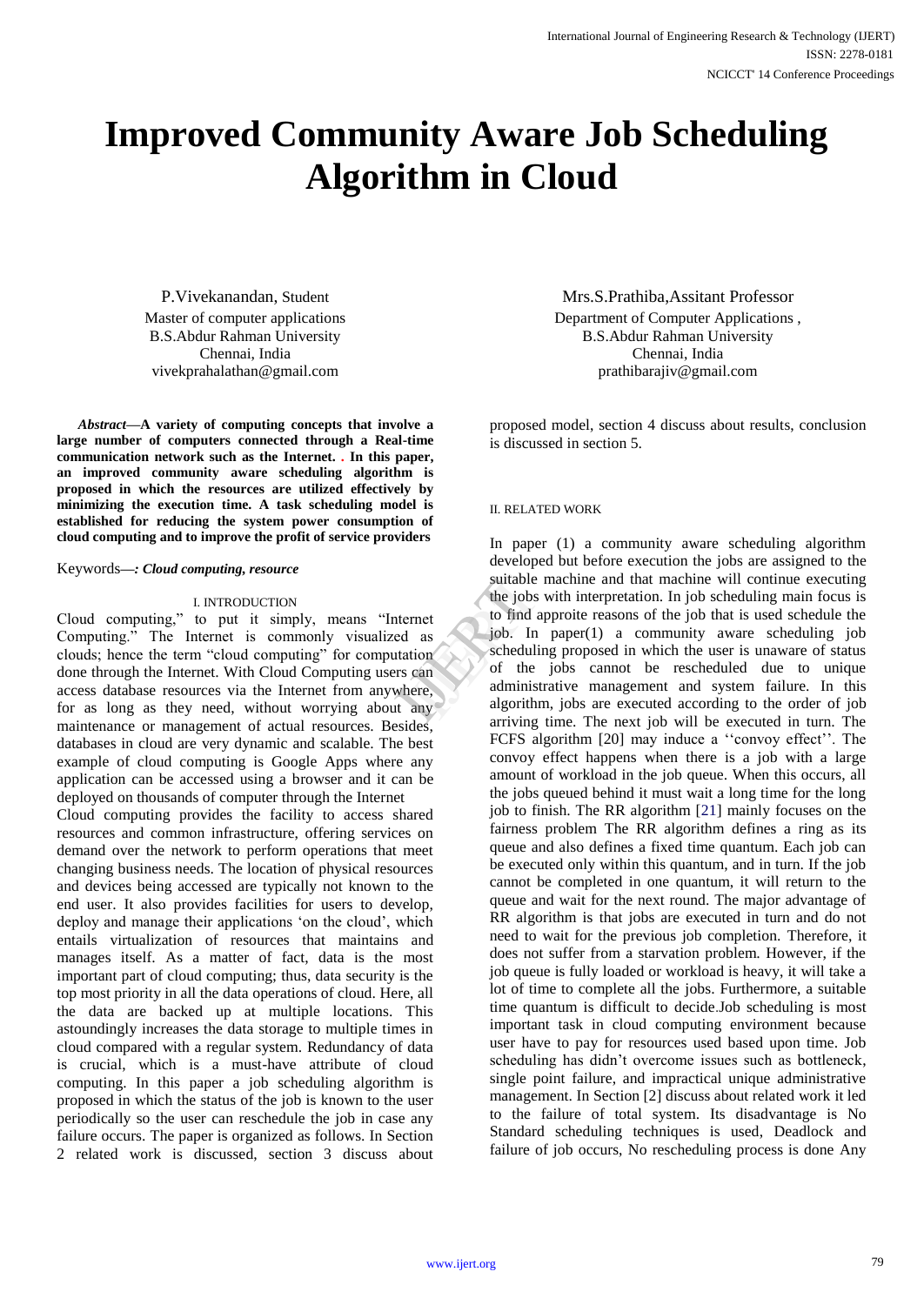# **Improved Community Aware Job Scheduling Algorithm in Cloud**

P.Vivekanandan, Student Master of computer applications B.S.Abdur Rahman University Chennai, India vivekprahalathan@gmail.com

*Abstract***—A variety of computing concepts that involve a large number of computers connected through a Real-time communication network such as the Internet. . In this paper, an improved community aware scheduling algorithm is proposed in which the resources are utilized effectively by minimizing the execution time. A task scheduling model is established for reducing the system power consumption of cloud computing and to improve the profit of service providers**

# Keywords*—: Cloud computing, resource*

# I. INTRODUCTION

Cloud computing," to put it simply, means "Internet Computing." The Internet is commonly visualized as clouds; hence the term "cloud computing" for computation done through the Internet. With Cloud Computing users can access database resources via the Internet from anywhere, for as long as they need, without worrying about any maintenance or management of actual resources. Besides, databases in cloud are very dynamic and scalable. The best example of cloud computing is Google Apps where any application can be accessed using a browser and it can be deployed on thousands of computer through the Internet Cloud computing provides the facility to access shared resources and common infrastructure, offering services on demand over the network to perform operations that meet changing business needs. The location of physical resources and devices being accessed are typically not known to the end user. It also provides facilities for users to develop, deploy and manage their applications 'on the cloud', which entails virtualization of resources that maintains and manages itself. As a matter of fact, data is the most important part of cloud computing; thus, data security is the top most priority in all the data operations of cloud. Here, all the data are backed up at multiple locations. This astoundingly increases the data storage to multiple times in cloud compared with a regular system. Redundancy of data is crucial, which is a must-have attribute of cloud computing. In this paper a job scheduling algorithm is proposed in which the status of the job is known to the user periodically so the user can reschedule the job in case any failure occurs. The paper is organized as follows. In Section 2 related work is discussed, section 3 discuss about

Mrs.S.Prathiba,Assitant Professor Department of Computer Applications , B.S.Abdur Rahman University Chennai, India prathibarajiv@gmail.com

proposed model, section 4 discuss about results, conclusion is discussed in section 5.

#### II. RELATED WORK

In paper (1) a community aware scheduling algorithm developed but before execution the jobs are assigned to the suitable machine and that machine will continue executing the jobs with interpretation. In job scheduling main focus is to find approite reasons of the job that is used schedule the job. In paper(1) a community aware scheduling job scheduling proposed in which the user is unaware of status of the jobs cannot be rescheduled due to unique administrative management and system failure. In this algorithm, jobs are executed according to the order of job arriving time. The next job will be executed in turn. The FCFS algorithm [20] may induce a ''convoy effect''. The convoy effect happens when there is a job with a large amount of workload in the job queue. When this occurs, all the jobs queued behind it must wait a long time for the long job to finish. The RR algorithm [21] mainly focuses on the fairness problem The RR algorithm defines a ring as its queue and also defines a fixed time quantum. Each job can be executed only within this quantum, and in turn. If the job cannot be completed in one quantum, it will return to the queue and wait for the next round. The major advantage of RR algorithm is that jobs are executed in turn and do not need to wait for the previous job completion. Therefore, it does not suffer from a starvation problem. However, if the job queue is fully loaded or workload is heavy, it will take a lot of time to complete all the jobs. Furthermore, a suitable time quantum is difficult to decide.Job scheduling is most important task in cloud computing environment because user have to pay for resources used based upon time. Job scheduling has didn't overcome issues such as bottleneck, single point failure, and impractical unique administrative management. In Section [2] discuss about related work it led to the failure of total system. Its disadvantage is No Standard scheduling techniques is used, Deadlock and failure of job occurs, No rescheduling process is done Any suitable m<br>
the jobs w<br>
to find app<br>
to find app<br>
to find app<br>
to find app<br>
ob. In p<br>
scheduling<br>
can<br>
of the judinmistra<br>
algorithm,<br>
algorithm,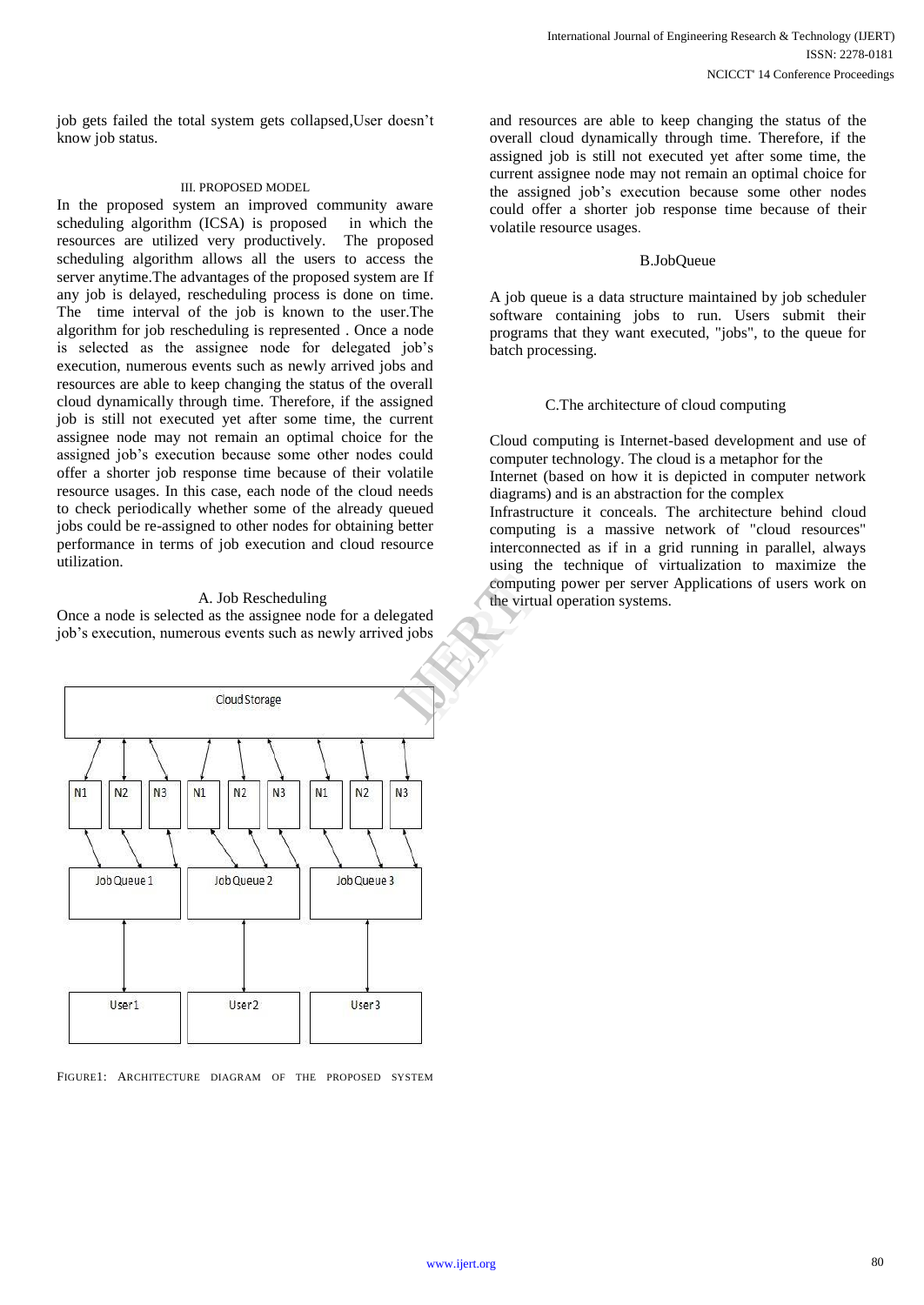job gets failed the total system gets collapsed,User doesn't know job status.

# III. PROPOSED MODEL

In the proposed system an improved community aware scheduling algorithm (ICSA) is proposed in which the resources are utilized very productively. The proposed scheduling algorithm allows all the users to access the server anytime.The advantages of the proposed system are If any job is delayed, rescheduling process is done on time. The time interval of the job is known to the user.The algorithm for job rescheduling is represented . Once a node is selected as the assignee node for delegated job's execution, numerous events such as newly arrived jobs and resources are able to keep changing the status of the overall cloud dynamically through time. Therefore, if the assigned job is still not executed yet after some time, the current assignee node may not remain an optimal choice for the assigned job's execution because some other nodes could offer a shorter job response time because of their volatile resource usages. In this case, each node of the cloud needs to check periodically whether some of the already queued jobs could be re-assigned to other nodes for obtaining better performance in terms of job execution and cloud resource utilization.

### A. Job Rescheduling

Once a node is selected as the assignee node for a delegated job's execution, numerous events such as newly arrived jobs



FIGURE1: ARCHITECTURE DIAGRAM OF THE PROPOSED SYSTEM

and resources are able to keep changing the status of the overall cloud dynamically through time. Therefore, if the assigned job is still not executed yet after some time, the current assignee node may not remain an optimal choice for the assigned job's execution because some other nodes could offer a shorter job response time because of their volatile resource usages.

# B.JobQueue

A job queue is a data structure maintained by job scheduler software containing jobs to run. Users submit their programs that they want executed, "jobs", to the queue for batch processing.

# C.The architecture of cloud computing

Cloud computing is Internet-based development and use of computer technology. The cloud is a metaphor for the Internet (based on how it is depicted in computer network diagrams) and is an abstraction for the complex Infrastructure it conceals. The architecture behind cloud computing is a massive network of "cloud resources" interconnected as if in a grid running in parallel, always using the technique of virtualization to maximize the computing power per server Applications of users work on the virtual operation systems.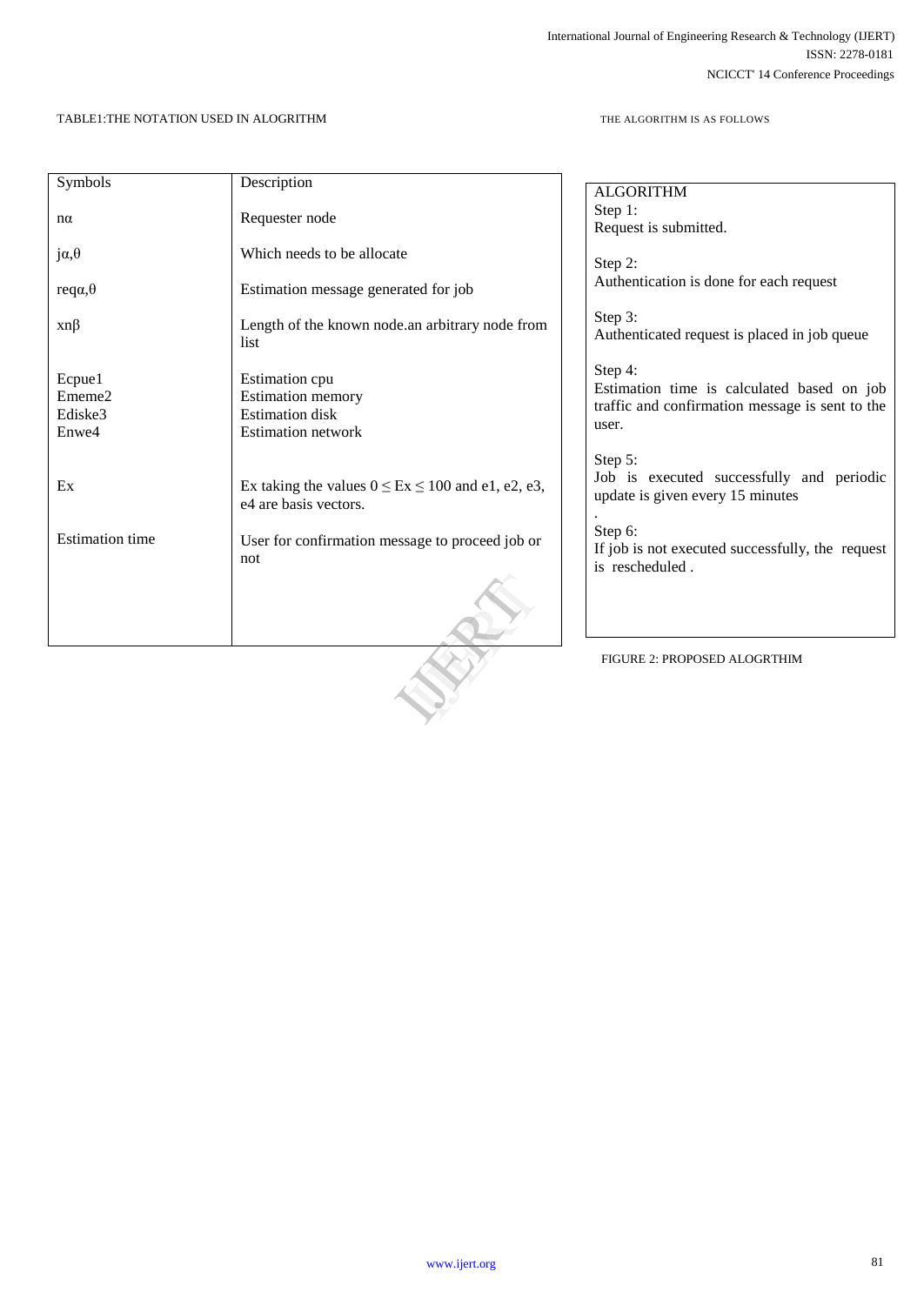# TABLE1:THE NOTATION USED IN ALOGRITHM

THE ALGORITHM IS AS FOLLOWS

| Symbols                | Description                                             |                                                  |
|------------------------|---------------------------------------------------------|--------------------------------------------------|
|                        |                                                         | <b>ALGORITHM</b>                                 |
| $n\alpha$              | Requester node                                          | Step 1:                                          |
|                        |                                                         | Request is submitted.                            |
| $j\alpha, \theta$      | Which needs to be allocate                              |                                                  |
|                        |                                                         | Step 2:                                          |
| $reqa, \theta$         | Estimation message generated for job                    | Authentication is done for each request          |
|                        |                                                         | Step 3:                                          |
| $xn\beta$              | Length of the known node.an arbitrary node from         | Authenticated request is placed in job queue     |
|                        | list                                                    |                                                  |
|                        |                                                         | Step 4:                                          |
| Ecpue1                 | Estimation cpu                                          | Estimation time is calculated based on job       |
| Ememe2                 | Estimation memory                                       | traffic and confirmation message is sent to the  |
| Ediske3                | <b>Estimation</b> disk                                  | user.                                            |
| Enwe4                  | <b>Estimation network</b>                               |                                                  |
|                        |                                                         | Step 5:                                          |
|                        |                                                         | Job is executed successfully and periodic        |
| Ex                     | Ex taking the values $0 \le Ex \le 100$ and e1, e2, e3, | update is given every 15 minutes                 |
|                        | e4 are basis vectors.                                   |                                                  |
|                        |                                                         | Step 6:                                          |
| <b>Estimation</b> time | User for confirmation message to proceed job or         | If job is not executed successfully, the request |
|                        | not                                                     | is rescheduled.                                  |
|                        |                                                         |                                                  |
|                        |                                                         |                                                  |
|                        |                                                         |                                                  |
|                        |                                                         |                                                  |
|                        |                                                         | FIGURE 2: PROPOSED ALOGRTHIM                     |
|                        |                                                         |                                                  |
|                        |                                                         |                                                  |
|                        |                                                         |                                                  |
|                        |                                                         |                                                  |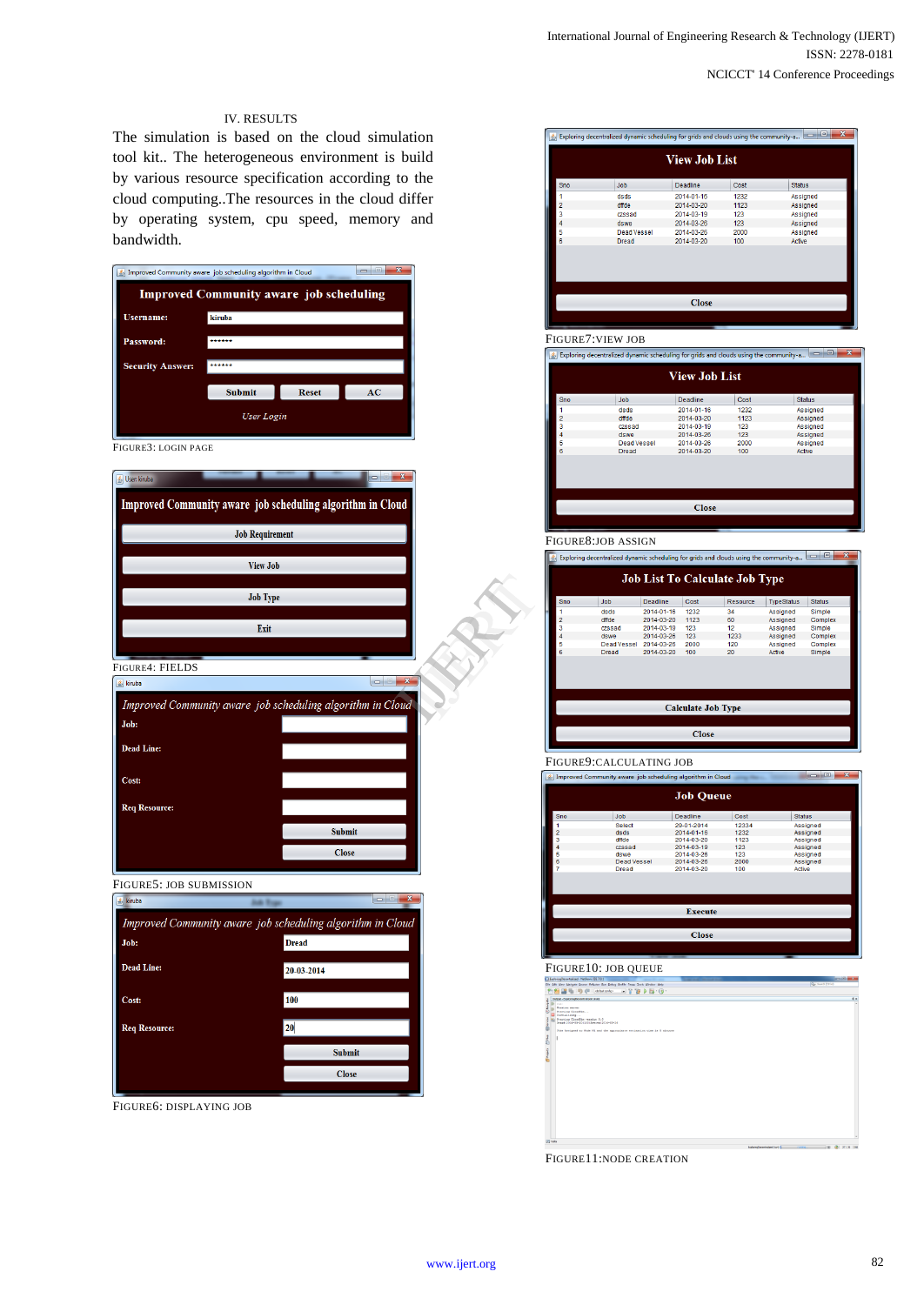# IV. RESULTS

The simulation is based on the cloud simulation tool kit.. The heterogeneous environment is build by various resource specification according to the cloud computing..The resources in the cloud differ by operating system, cpu speed, memory and bandwidth.

| Improved Community aware job scheduling algorithm in Cloud |                        |                                                            |
|------------------------------------------------------------|------------------------|------------------------------------------------------------|
|                                                            |                        | <b>Improved Community aware job scheduling</b>             |
| <b>Username:</b>                                           | kiruba                 |                                                            |
| Password:                                                  | ******                 |                                                            |
| <b>Security Answer:</b>                                    | *****                  |                                                            |
|                                                            | Submit                 | <b>Reset</b><br>AC                                         |
|                                                            |                        |                                                            |
|                                                            | User Login             |                                                            |
| FIGURE3: LOGIN PAGE                                        |                        |                                                            |
| User: kiruba                                               |                        |                                                            |
|                                                            |                        | Improved Community aware job scheduling algorithm in Cloud |
|                                                            |                        |                                                            |
|                                                            | <b>Job Requirement</b> |                                                            |
|                                                            | <b>View Job</b>        |                                                            |
|                                                            |                        |                                                            |
|                                                            | <b>Job Type</b>        |                                                            |
|                                                            | Exit                   |                                                            |
|                                                            |                        |                                                            |
| FIGURE4: FIELDS                                            |                        |                                                            |
| s kiruba                                                   |                        |                                                            |
|                                                            |                        | Improved Community aware job scheduling algorithm in Cloud |
| Job:                                                       |                        |                                                            |
| <b>Dead Line:</b>                                          |                        |                                                            |
| Cost:                                                      |                        |                                                            |
|                                                            |                        |                                                            |
| <b>Req Resource:</b>                                       |                        |                                                            |
|                                                            |                        | <b>Submit</b>                                              |
|                                                            |                        | <b>Close</b>                                               |
| FIGURE5: JOB SUBMISSION                                    |                        |                                                            |
| & kiruba                                                   |                        |                                                            |
|                                                            |                        | Improved Community aware job scheduling algorithm in Cloud |
| Job:                                                       |                        | <b>Dread</b>                                               |
| <b>Dead Line:</b>                                          |                        | 20-03-2014                                                 |
|                                                            |                        |                                                            |
| Cost:                                                      |                        | 100                                                        |
| <b>Req Resource:</b>                                       |                        | 20                                                         |
|                                                            |                        | <b>Submit</b>                                              |
|                                                            |                        | <b>Close</b>                                               |
|                                                            |                        |                                                            |

FIGURE6: DISPLAYING JOB

| <b>View Job List</b> |                    |                   |      |               |  |
|----------------------|--------------------|-------------------|------|---------------|--|
| Sno                  | Job                | Deadline          | Cost | <b>Status</b> |  |
|                      | dsds               | 2014-01-16        | 1232 | Assigned      |  |
| 2                    | dffde              | 2014-03-20        | 1123 | Assigned      |  |
| 3                    | czssad             | 2014-03-19        | 123  | Assigned      |  |
| 4                    | dswe               | 2014-03-26        | 123  | Assigned      |  |
| 5                    | <b>Dead Vessel</b> | 2014-03-26        | 2000 | Assigned      |  |
| 6                    | <b>Dread</b>       | 2014-03-20<br>100 |      | Active        |  |
|                      |                    |                   |      |               |  |
| <b>Close</b>         |                    |                   |      |               |  |

FIGURE7: VIEW JOB<br>
Exploring decentralized dynamic scheduling for grids and clouds using the community-a.. **View Job List** Job Deadline Status dsds<br>dffde<br>czssad<br>dswe<br>Dead Vessel<br>Dread 2014-01-16<br>2014-03-20<br>2014-03-26<br>2014-03-26<br>2014-03-20 Assigned<br>Assigned<br>Assigned<br>Assigned<br>Active 1232<br>1232<br>123<br>123<br>2000<br>100

| <b>Close</b>                                                                                                                        |             |                                       |      |          |                   |               |  |
|-------------------------------------------------------------------------------------------------------------------------------------|-------------|---------------------------------------|------|----------|-------------------|---------------|--|
|                                                                                                                                     |             |                                       |      |          |                   |               |  |
| FIGURE8:JOB ASSIGN                                                                                                                  |             |                                       |      |          |                   |               |  |
| ×<br>$=$ $\blacksquare$<br>Exploring decentralized dynamic scheduling for grids and clouds using the community-a<br>$\mathcal{L}_2$ |             |                                       |      |          |                   |               |  |
|                                                                                                                                     |             | <b>Job List To Calculate Job Type</b> |      |          |                   |               |  |
|                                                                                                                                     |             |                                       |      |          |                   |               |  |
| Sno                                                                                                                                 | Job         | Deadline                              | Cost | Resource | <b>TypeStatus</b> | <b>Status</b> |  |
| 1                                                                                                                                   | dsds        | 2014-01-16                            | 1232 | 34       | Assigned          | Simple        |  |
| $\overline{2}$                                                                                                                      | dffde       | 2014-03-20                            | 1123 | 60       | Assigned          | Complex       |  |
| 3                                                                                                                                   | czssad      | 2014-03-19                            | 123  | 12       | Assigned          | Simple        |  |
| 4                                                                                                                                   | dswe        | 2014-03-26                            | 123  | 1233     | Assigned          | Complex       |  |
| 5                                                                                                                                   | Dead Vessel | 2014-03-26                            | 2000 | 120      | Assigned          | Complex       |  |
| 6                                                                                                                                   | Dread       | 2014-03-20                            | 100  | 20       | Active            | Simple        |  |
|                                                                                                                                     |             |                                       |      |          |                   |               |  |
|                                                                                                                                     |             |                                       |      |          |                   |               |  |
|                                                                                                                                     |             |                                       |      |          |                   |               |  |
|                                                                                                                                     |             |                                       |      |          |                   |               |  |
|                                                                                                                                     |             |                                       |      |          |                   |               |  |
| <b>Calculate Job Type</b>                                                                                                           |             |                                       |      |          |                   |               |  |
|                                                                                                                                     |             |                                       |      |          |                   |               |  |
| <b>Close</b>                                                                                                                        |             |                                       |      |          |                   |               |  |
|                                                                                                                                     |             |                                       |      |          |                   |               |  |
|                                                                                                                                     |             |                                       |      |          |                   |               |  |

#### FIGURE9:CALCULATING JOB

|                  | $\overline{\mathbf{z}}$<br>同<br>6 Improved Community aware job scheduling algorithm in Cloud |            |       |               |  |  |  |
|------------------|----------------------------------------------------------------------------------------------|------------|-------|---------------|--|--|--|
| <b>Job Queue</b> |                                                                                              |            |       |               |  |  |  |
| <b>Sno</b>       | <b>Job</b>                                                                                   | Deadline   | Cost  | <b>Status</b> |  |  |  |
|                  | Select                                                                                       | 29-01-2014 | 12334 | Assigned      |  |  |  |
| $\overline{2}$   | dsds                                                                                         | 2014-01-16 | 1232  | Assigned      |  |  |  |
| 3                | dffde                                                                                        | 2014-03-20 | 1123  | Assigned      |  |  |  |
|                  | czssad                                                                                       | 2014-03-19 | 123   | Assigned      |  |  |  |
| 5                | dswe                                                                                         | 2014-03-26 | 123   | Assigned      |  |  |  |
| 6                | Dead Vessel                                                                                  | 2014-03-26 | 2000  | Assigned      |  |  |  |
| 7                | <b>Dread</b>                                                                                 | 2014-03-20 | 100   | Active        |  |  |  |
|                  |                                                                                              |            |       |               |  |  |  |
|                  |                                                                                              |            |       |               |  |  |  |
|                  |                                                                                              |            |       |               |  |  |  |
|                  |                                                                                              |            |       |               |  |  |  |
|                  | <b>Execute</b>                                                                               |            |       |               |  |  |  |
|                  |                                                                                              |            |       |               |  |  |  |
| <b>Close</b>     |                                                                                              |            |       |               |  |  |  |
|                  |                                                                                              |            |       |               |  |  |  |
|                  |                                                                                              |            |       |               |  |  |  |



FIGURE11:NODE CREATION

REFERENCE